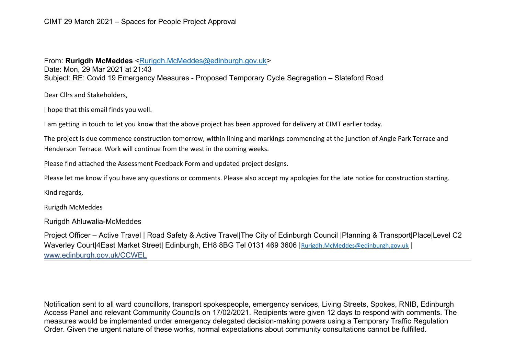## From: Rurigdh McMeddes [<Rurigdh.McMeddes@edinburgh.gov.uk>](mailto:Rurigdh.McMeddes@edinburgh.gov.uk)

Date: Mon, 29 Mar 2021 at 21:43 Subject: RE: Covid 19 Emergency Measures - Proposed Temporary Cycle Segregation – Slateford Road

Dear Cllrs and Stakeholders,

I hope that this email finds you well.

I am getting in touch to let you know that the above project has been approved for delivery at CIMT earlier today.

The project is due commence construction tomorrow, within lining and markings commencing at the junction of Angle Park Terrace and Henderson Terrace. Work will continue from the west in the coming weeks.

Please find attached the Assessment Feedback Form and updated project designs.

Please let me know if you have any questions or comments. Please also accept my apologies for the late notice for construction starting.

Kind regards,

Rurigdh McMeddes

Rurigdh Ahluwalia-McMeddes

Project Officer – Active Travel | Road Safety & Active Travel|The City of Edinburgh Council |Planning & Transport|Place|Level C2 Waverley Court|4East Market Street| Edinburgh, EH8 8BG Tel 0131 469 3606 | [Rurigdh.McMeddes@edinburgh.gov.uk](mailto:Rurigdh.McMeddes@edinburgh.gov.uk) | [www.edinburgh.gov.uk/CCWEL](http://www.edinburgh.gov.uk/CCWEL)

Notification sent to all ward councillors, transport spokespeople, emergency services, Living Streets, Spokes, RNIB, Edinburgh Access Panel and relevant Community Councils on 17/02/2021. Recipients were given 12 days to respond with comments. The measures would be implemented under emergency delegated decision-making powers using a Temporary Traffic Regulation Order. Given the urgent nature of these works, normal expectations about community consultations cannot be fulfilled.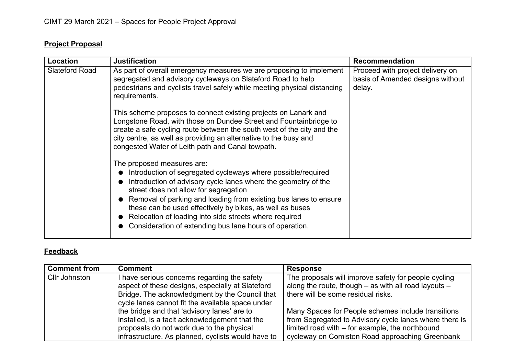## **Project Proposal**

| Location              | <b>Justification</b>                                                                                                                                                                                                                                                                                                                                                                                                                                                                                                                                                                                                                                                                                                                                                                            | <b>Recommendation</b>                                                          |
|-----------------------|-------------------------------------------------------------------------------------------------------------------------------------------------------------------------------------------------------------------------------------------------------------------------------------------------------------------------------------------------------------------------------------------------------------------------------------------------------------------------------------------------------------------------------------------------------------------------------------------------------------------------------------------------------------------------------------------------------------------------------------------------------------------------------------------------|--------------------------------------------------------------------------------|
| <b>Slateford Road</b> | As part of overall emergency measures we are proposing to implement<br>segregated and advisory cycleways on Slateford Road to help<br>pedestrians and cyclists travel safely while meeting physical distancing<br>requirements.<br>This scheme proposes to connect existing projects on Lanark and<br>Longstone Road, with those on Dundee Street and Fountainbridge to<br>create a safe cycling route between the south west of the city and the<br>city centre, as well as providing an alternative to the busy and<br>congested Water of Leith path and Canal towpath.<br>The proposed measures are:<br>Introduction of segregated cycleways where possible/required<br>$\bullet$<br>Introduction of advisory cycle lanes where the geometry of the<br>street does not allow for segregation | Proceed with project delivery on<br>basis of Amended designs without<br>delay. |
|                       | Removal of parking and loading from existing bus lanes to ensure<br>these can be used effectively by bikes, as well as buses<br>Relocation of loading into side streets where required<br>Consideration of extending bus lane hours of operation.                                                                                                                                                                                                                                                                                                                                                                                                                                                                                                                                               |                                                                                |

## **Feedback**

| <b>Comment from</b>  | <b>Comment</b>                                     | <b>Response</b>                                        |
|----------------------|----------------------------------------------------|--------------------------------------------------------|
| <b>Cllr Johnston</b> | have serious concerns regarding the safety         | The proposals will improve safety for people cycling   |
|                      | aspect of these designs, especially at Slateford   | along the route, though - as with all road layouts -   |
|                      | Bridge. The acknowledgment by the Council that     | there will be some residual risks.                     |
|                      | cycle lanes cannot fit the available space under   |                                                        |
|                      | the bridge and that 'advisory lanes' are to        | Many Spaces for People schemes include transitions     |
|                      | installed, is a tacit acknowledgement that the     | from Segregated to Advisory cycle lanes where there is |
|                      | proposals do not work due to the physical          | limited road with $-$ for example, the northbound      |
|                      | infrastructure. As planned, cyclists would have to | cycleway on Comiston Road approaching Greenbank        |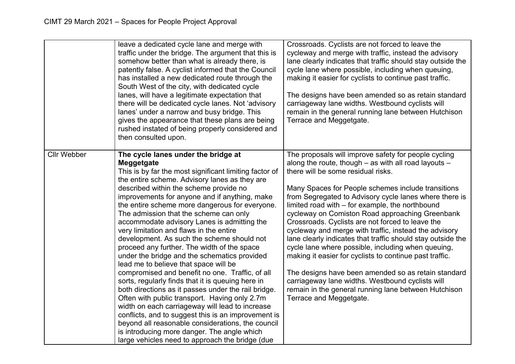|                    | leave a dedicated cycle lane and merge with<br>traffic under the bridge. The argument that this is<br>somehow better than what is already there, is<br>patently false. A cyclist informed that the Council<br>has installed a new dedicated route through the<br>South West of the city, with dedicated cycle<br>lanes, will have a legitimate expectation that<br>there will be dedicated cycle lanes. Not 'advisory<br>lanes' under a narrow and busy bridge. This<br>gives the appearance that these plans are being<br>rushed instated of being properly considered and<br>then consulted upon.                                                                                                                                                                                                                                                                                                                                                                                                                                                                                                                  | Crossroads. Cyclists are not forced to leave the<br>cycleway and merge with traffic, instead the advisory<br>lane clearly indicates that traffic should stay outside the<br>cycle lane where possible, including when queuing,<br>making it easier for cyclists to continue past traffic.<br>The designs have been amended so as retain standard<br>carriageway lane widths. Westbound cyclists will<br>remain in the general running lane between Hutchison<br>Terrace and Meggetgate.                                                                                                                                                                                                                                                                                                                                                                                 |
|--------------------|----------------------------------------------------------------------------------------------------------------------------------------------------------------------------------------------------------------------------------------------------------------------------------------------------------------------------------------------------------------------------------------------------------------------------------------------------------------------------------------------------------------------------------------------------------------------------------------------------------------------------------------------------------------------------------------------------------------------------------------------------------------------------------------------------------------------------------------------------------------------------------------------------------------------------------------------------------------------------------------------------------------------------------------------------------------------------------------------------------------------|-------------------------------------------------------------------------------------------------------------------------------------------------------------------------------------------------------------------------------------------------------------------------------------------------------------------------------------------------------------------------------------------------------------------------------------------------------------------------------------------------------------------------------------------------------------------------------------------------------------------------------------------------------------------------------------------------------------------------------------------------------------------------------------------------------------------------------------------------------------------------|
| <b>Cllr Webber</b> | The cycle lanes under the bridge at<br>Meggetgate<br>This is by far the most significant limiting factor of<br>the entire scheme. Advisory lanes as they are<br>described within the scheme provide no<br>improvements for anyone and if anything, make<br>the entire scheme more dangerous for everyone.<br>The admission that the scheme can only<br>accommodate advisory Lanes is admitting the<br>very limitation and flaws in the entire<br>development. As such the scheme should not<br>proceed any further. The width of the space<br>under the bridge and the schematics provided<br>lead me to believe that space will be<br>compromised and benefit no one. Traffic, of all<br>sorts, regularly finds that it is queuing here in<br>both directions as it passes under the rail bridge.<br>Often with public transport. Having only 2.7m<br>width on each carriageway will lead to increase<br>conflicts, and to suggest this is an improvement is<br>beyond all reasonable considerations, the council<br>is introducing more danger. The angle which<br>large vehicles need to approach the bridge (due | The proposals will improve safety for people cycling<br>along the route, though $-$ as with all road layouts $-$<br>there will be some residual risks.<br>Many Spaces for People schemes include transitions<br>from Segregated to Advisory cycle lanes where there is<br>limited road with – for example, the northbound<br>cycleway on Comiston Road approaching Greenbank<br>Crossroads. Cyclists are not forced to leave the<br>cycleway and merge with traffic, instead the advisory<br>lane clearly indicates that traffic should stay outside the<br>cycle lane where possible, including when queuing,<br>making it easier for cyclists to continue past traffic.<br>The designs have been amended so as retain standard<br>carriageway lane widths. Westbound cyclists will<br>remain in the general running lane between Hutchison<br>Terrace and Meggetgate. |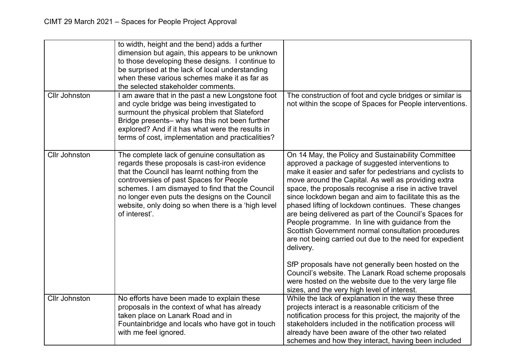|                      | to width, height and the bend) adds a further<br>dimension but again, this appears to be unknown<br>to those developing these designs. I continue to<br>be surprised at the lack of local understanding<br>when these various schemes make it as far as<br>the selected stakeholder comments.                                                                        |                                                                                                                                                                                                                                                                                                                                                                                                                                                                                                                                                                                                                                                                                                                                                                                                                                                                         |
|----------------------|----------------------------------------------------------------------------------------------------------------------------------------------------------------------------------------------------------------------------------------------------------------------------------------------------------------------------------------------------------------------|-------------------------------------------------------------------------------------------------------------------------------------------------------------------------------------------------------------------------------------------------------------------------------------------------------------------------------------------------------------------------------------------------------------------------------------------------------------------------------------------------------------------------------------------------------------------------------------------------------------------------------------------------------------------------------------------------------------------------------------------------------------------------------------------------------------------------------------------------------------------------|
| <b>Cllr Johnston</b> | I am aware that in the past a new Longstone foot<br>and cycle bridge was being investigated to<br>surmount the physical problem that Slateford<br>Bridge presents- why has this not been further<br>explored? And if it has what were the results in<br>terms of cost, implementation and practicalities?                                                            | The construction of foot and cycle bridges or similar is<br>not within the scope of Spaces for People interventions.                                                                                                                                                                                                                                                                                                                                                                                                                                                                                                                                                                                                                                                                                                                                                    |
| <b>Cllr Johnston</b> | The complete lack of genuine consultation as<br>regards these proposals is cast-iron evidence<br>that the Council has learnt nothing from the<br>controversies of past Spaces for People<br>schemes. I am dismayed to find that the Council<br>no longer even puts the designs on the Council<br>website, only doing so when there is a 'high level<br>of interest'. | On 14 May, the Policy and Sustainability Committee<br>approved a package of suggested interventions to<br>make it easier and safer for pedestrians and cyclists to<br>move around the Capital. As well as providing extra<br>space, the proposals recognise a rise in active travel<br>since lockdown began and aim to facilitate this as the<br>phased lifting of lockdown continues. These changes<br>are being delivered as part of the Council's Spaces for<br>People programme. In line with guidance from the<br>Scottish Government normal consultation procedures<br>are not being carried out due to the need for expedient<br>delivery.<br>SfP proposals have not generally been hosted on the<br>Council's website. The Lanark Road scheme proposals<br>were hosted on the website due to the very large file<br>sizes, and the very high level of interest. |
| <b>Cllr Johnston</b> | No efforts have been made to explain these<br>proposals in the context of what has already<br>taken place on Lanark Road and in<br>Fountainbridge and locals who have got in touch<br>with me feel ignored.                                                                                                                                                          | While the lack of explanation in the way these three<br>projects interact is a reasonable criticism of the<br>notification process for this project, the majority of the<br>stakeholders included in the notification process will<br>already have been aware of the other two related<br>schemes and how they interact, having been included                                                                                                                                                                                                                                                                                                                                                                                                                                                                                                                           |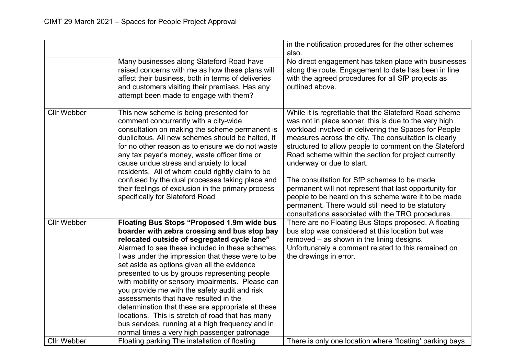|                    |                                                                                                                                                                                                                                                                                                                                                                                                                                                                                                                                                                                                                                                                                                                    | in the notification procedures for the other schemes<br>also.                                                                                                                                                                                                                                                                                                                                                                                                                                                                                                                                                                                               |
|--------------------|--------------------------------------------------------------------------------------------------------------------------------------------------------------------------------------------------------------------------------------------------------------------------------------------------------------------------------------------------------------------------------------------------------------------------------------------------------------------------------------------------------------------------------------------------------------------------------------------------------------------------------------------------------------------------------------------------------------------|-------------------------------------------------------------------------------------------------------------------------------------------------------------------------------------------------------------------------------------------------------------------------------------------------------------------------------------------------------------------------------------------------------------------------------------------------------------------------------------------------------------------------------------------------------------------------------------------------------------------------------------------------------------|
|                    | Many businesses along Slateford Road have<br>raised concerns with me as how these plans will<br>affect their business, both in terms of deliveries<br>and customers visiting their premises. Has any<br>attempt been made to engage with them?                                                                                                                                                                                                                                                                                                                                                                                                                                                                     | No direct engagement has taken place with businesses<br>along the route. Engagement to date has been in line<br>with the agreed procedures for all SfP projects as<br>outlined above.                                                                                                                                                                                                                                                                                                                                                                                                                                                                       |
| <b>Cllr Webber</b> | This new scheme is being presented for<br>comment concurrently with a city-wide<br>consultation on making the scheme permanent is<br>duplicitous. All new schemes should be halted, if<br>for no other reason as to ensure we do not waste<br>any tax payer's money, waste officer time or<br>cause undue stress and anxiety to local<br>residents. All of whom could rightly claim to be<br>confused by the dual processes taking place and<br>their feelings of exclusion in the primary process<br>specifically for Slateford Road                                                                                                                                                                              | While it is regrettable that the Slateford Road scheme<br>was not in place sooner, this is due to the very high<br>workload involved in delivering the Spaces for People<br>measures across the city. The consultation is clearly<br>structured to allow people to comment on the Slateford<br>Road scheme within the section for project currently<br>underway or due to start.<br>The consultation for SfP schemes to be made<br>permanent will not represent that last opportunity for<br>people to be heard on this scheme were it to be made<br>permanent. There would still need to be statutory<br>consultations associated with the TRO procedures. |
| <b>Cllr Webber</b> | <b>Floating Bus Stops "Proposed 1.9m wide bus</b><br>boarder with zebra crossing and bus stop bay<br>relocated outside of segregated cycle lane"<br>Alarmed to see these included in these schemes.<br>I was under the impression that these were to be<br>set aside as options given all the evidence<br>presented to us by groups representing people<br>with mobility or sensory impairments. Please can<br>you provide me with the safety audit and risk<br>assessments that have resulted in the<br>determination that these are appropriate at these<br>locations. This is stretch of road that has many<br>bus services, running at a high frequency and in<br>normal times a very high passenger patronage | There are no Floating Bus Stops proposed. A floating<br>bus stop was considered at this location but was<br>removed - as shown in the lining designs.<br>Unfortunately a comment related to this remained on<br>the drawings in error.                                                                                                                                                                                                                                                                                                                                                                                                                      |
| <b>Cllr Webber</b> | Floating parking The installation of floating                                                                                                                                                                                                                                                                                                                                                                                                                                                                                                                                                                                                                                                                      | There is only one location where 'floating' parking bays                                                                                                                                                                                                                                                                                                                                                                                                                                                                                                                                                                                                    |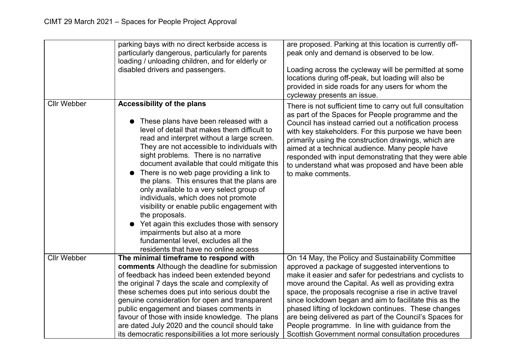|                    | parking bays with no direct kerbside access is<br>particularly dangerous, particularly for parents<br>loading / unloading children, and for elderly or<br>disabled drivers and passengers.                                                                                                                                                                                                                                                                                                                                                                                                                                                                                                                                   | are proposed. Parking at this location is currently off-<br>peak only and demand is observed to be low.<br>Loading across the cycleway will be permitted at some<br>locations during off-peak, but loading will also be<br>provided in side roads for any users for whom the<br>cycleway presents an issue.                                                                                                                                                                         |
|--------------------|------------------------------------------------------------------------------------------------------------------------------------------------------------------------------------------------------------------------------------------------------------------------------------------------------------------------------------------------------------------------------------------------------------------------------------------------------------------------------------------------------------------------------------------------------------------------------------------------------------------------------------------------------------------------------------------------------------------------------|-------------------------------------------------------------------------------------------------------------------------------------------------------------------------------------------------------------------------------------------------------------------------------------------------------------------------------------------------------------------------------------------------------------------------------------------------------------------------------------|
| <b>Cllr Webber</b> | <b>Accessibility of the plans</b><br>These plans have been released with a<br>level of detail that makes them difficult to<br>read and interpret without a large screen.<br>They are not accessible to individuals with<br>sight problems. There is no narrative<br>document available that could mitigate this<br>There is no web page providing a link to<br>the plans. This ensures that the plans are<br>only available to a very select group of<br>individuals, which does not promote<br>visibility or enable public engagement with<br>the proposals.<br>Yet again this excludes those with sensory<br>impairments but also at a more<br>fundamental level, excludes all the<br>residents that have no online access | There is not sufficient time to carry out full consultation<br>as part of the Spaces for People programme and the<br>Council has instead carried out a notification process<br>with key stakeholders. For this purpose we have been<br>primarily using the construction drawings, which are<br>aimed at a technical audience. Many people have<br>responded with input demonstrating that they were able<br>to understand what was proposed and have been able<br>to make comments. |
| <b>Cllr Webber</b> | The minimal timeframe to respond with                                                                                                                                                                                                                                                                                                                                                                                                                                                                                                                                                                                                                                                                                        | On 14 May, the Policy and Sustainability Committee                                                                                                                                                                                                                                                                                                                                                                                                                                  |
|                    | comments Although the deadline for submission<br>of feedback has indeed been extended beyond                                                                                                                                                                                                                                                                                                                                                                                                                                                                                                                                                                                                                                 | approved a package of suggested interventions to<br>make it easier and safer for pedestrians and cyclists to                                                                                                                                                                                                                                                                                                                                                                        |
|                    | the original 7 days the scale and complexity of                                                                                                                                                                                                                                                                                                                                                                                                                                                                                                                                                                                                                                                                              | move around the Capital. As well as providing extra                                                                                                                                                                                                                                                                                                                                                                                                                                 |
|                    | these schemes does put into serious doubt the                                                                                                                                                                                                                                                                                                                                                                                                                                                                                                                                                                                                                                                                                | space, the proposals recognise a rise in active travel                                                                                                                                                                                                                                                                                                                                                                                                                              |
|                    | genuine consideration for open and transparent                                                                                                                                                                                                                                                                                                                                                                                                                                                                                                                                                                                                                                                                               | since lockdown began and aim to facilitate this as the                                                                                                                                                                                                                                                                                                                                                                                                                              |
|                    | public engagement and biases comments in                                                                                                                                                                                                                                                                                                                                                                                                                                                                                                                                                                                                                                                                                     | phased lifting of lockdown continues. These changes                                                                                                                                                                                                                                                                                                                                                                                                                                 |
|                    | favour of those with inside knowledge. The plans                                                                                                                                                                                                                                                                                                                                                                                                                                                                                                                                                                                                                                                                             | are being delivered as part of the Council's Spaces for                                                                                                                                                                                                                                                                                                                                                                                                                             |
|                    | are dated July 2020 and the council should take                                                                                                                                                                                                                                                                                                                                                                                                                                                                                                                                                                                                                                                                              | People programme. In line with guidance from the                                                                                                                                                                                                                                                                                                                                                                                                                                    |
|                    | its democratic responsibilities a lot more seriously                                                                                                                                                                                                                                                                                                                                                                                                                                                                                                                                                                                                                                                                         | Scottish Government normal consultation procedures                                                                                                                                                                                                                                                                                                                                                                                                                                  |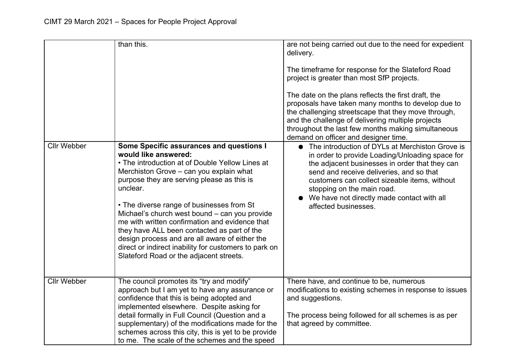|                    | than this.                                                                                                                                                                                                                                                                                                                                                                                                                                                                                                                                                                    | are not being carried out due to the need for expedient<br>delivery.<br>The timeframe for response for the Slateford Road<br>project is greater than most SfP projects.<br>The date on the plans reflects the first draft, the<br>proposals have taken many months to develop due to<br>the challenging streetscape that they move through,<br>and the challenge of delivering multiple projects<br>throughout the last few months making simultaneous<br>demand on officer and designer time. |
|--------------------|-------------------------------------------------------------------------------------------------------------------------------------------------------------------------------------------------------------------------------------------------------------------------------------------------------------------------------------------------------------------------------------------------------------------------------------------------------------------------------------------------------------------------------------------------------------------------------|------------------------------------------------------------------------------------------------------------------------------------------------------------------------------------------------------------------------------------------------------------------------------------------------------------------------------------------------------------------------------------------------------------------------------------------------------------------------------------------------|
| <b>Cllr Webber</b> | Some Specific assurances and questions I<br>would like answered:<br>• The introduction at of Double Yellow Lines at<br>Merchiston Grove - can you explain what<br>purpose they are serving please as this is<br>unclear.<br>• The diverse range of businesses from St<br>Michael's church west bound - can you provide<br>me with written confirmation and evidence that<br>they have ALL been contacted as part of the<br>design process and are all aware of either the<br>direct or indirect inability for customers to park on<br>Slateford Road or the adjacent streets. | The introduction of DYLs at Merchiston Grove is<br>in order to provide Loading/Unloading space for<br>the adjacent businesses in order that they can<br>send and receive deliveries, and so that<br>customers can collect sizeable items, without<br>stopping on the main road.<br>We have not directly made contact with all<br>affected businesses.                                                                                                                                          |
| <b>Cllr Webber</b> | The council promotes its "try and modify"<br>approach but I am yet to have any assurance or<br>confidence that this is being adopted and<br>implemented elsewhere. Despite asking for<br>detail formally in Full Council (Question and a<br>supplementary) of the modifications made for the<br>schemes across this city, this is yet to be provide<br>to me. The scale of the schemes and the speed                                                                                                                                                                          | There have, and continue to be, numerous<br>modifications to existing schemes in response to issues<br>and suggestions.<br>The process being followed for all schemes is as per<br>that agreed by committee.                                                                                                                                                                                                                                                                                   |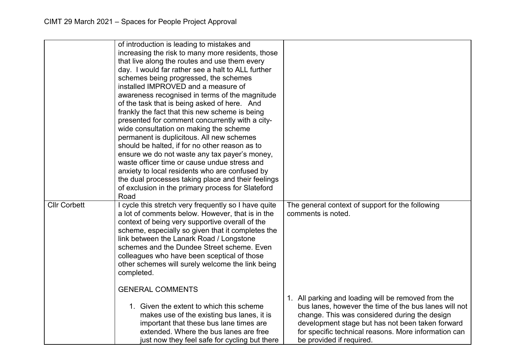|                     | of introduction is leading to mistakes and<br>increasing the risk to many more residents, those<br>that live along the routes and use them every<br>day. I would far rather see a halt to ALL further<br>schemes being progressed, the schemes<br>installed IMPROVED and a measure of<br>awareness recognised in terms of the magnitude<br>of the task that is being asked of here. And<br>frankly the fact that this new scheme is being<br>presented for comment concurrently with a city-<br>wide consultation on making the scheme<br>permanent is duplicitous. All new schemes<br>should be halted, if for no other reason as to<br>ensure we do not waste any tax payer's money,<br>waste officer time or cause undue stress and |                                                                                                                                                                                                                                                                                                       |
|---------------------|----------------------------------------------------------------------------------------------------------------------------------------------------------------------------------------------------------------------------------------------------------------------------------------------------------------------------------------------------------------------------------------------------------------------------------------------------------------------------------------------------------------------------------------------------------------------------------------------------------------------------------------------------------------------------------------------------------------------------------------|-------------------------------------------------------------------------------------------------------------------------------------------------------------------------------------------------------------------------------------------------------------------------------------------------------|
|                     | anxiety to local residents who are confused by<br>the dual processes taking place and their feelings<br>of exclusion in the primary process for Slateford<br>Road                                                                                                                                                                                                                                                                                                                                                                                                                                                                                                                                                                      |                                                                                                                                                                                                                                                                                                       |
| <b>Cllr Corbett</b> | I cycle this stretch very frequently so I have quite<br>a lot of comments below. However, that is in the<br>context of being very supportive overall of the<br>scheme, especially so given that it completes the<br>link between the Lanark Road / Longstone<br>schemes and the Dundee Street scheme. Even<br>colleagues who have been sceptical of those<br>other schemes will surely welcome the link being<br>completed.                                                                                                                                                                                                                                                                                                            | The general context of support for the following<br>comments is noted.                                                                                                                                                                                                                                |
|                     | <b>GENERAL COMMENTS</b><br>1. Given the extent to which this scheme<br>makes use of the existing bus lanes, it is<br>important that these bus lane times are<br>extended. Where the bus lanes are free<br>just now they feel safe for cycling but there                                                                                                                                                                                                                                                                                                                                                                                                                                                                                | 1. All parking and loading will be removed from the<br>bus lanes, however the time of the bus lanes will not<br>change. This was considered during the design<br>development stage but has not been taken forward<br>for specific technical reasons. More information can<br>be provided if required. |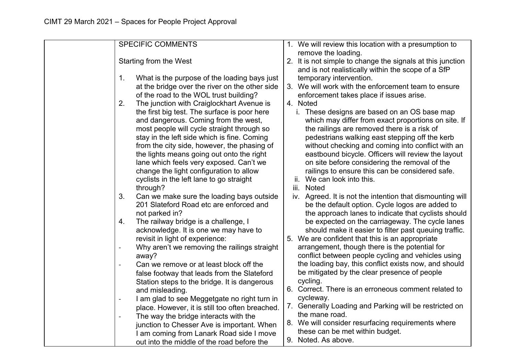| <b>SPECIFIC COMMENTS</b>                                                 | 1. We will review this location with a presumption to<br>remove the loading. |
|--------------------------------------------------------------------------|------------------------------------------------------------------------------|
| Starting from the West                                                   | 2. It is not simple to change the signals at this junction                   |
|                                                                          | and is not realistically within the scope of a SfP                           |
| $\mathbf{1}$ .<br>What is the purpose of the loading bays just           | temporary intervention.                                                      |
| at the bridge over the river on the other side                           | 3. We will work with the enforcement team to ensure                          |
| of the road to the WOL trust building?                                   | enforcement takes place if issues arise.                                     |
| 2.<br>The junction with Craiglockhart Avenue is                          | 4. Noted                                                                     |
| the first big test. The surface is poor here                             | i. These designs are based on an OS base map                                 |
| and dangerous. Coming from the west,                                     | which may differ from exact proportions on site. If                          |
| most people will cycle straight through so                               | the railings are removed there is a risk of                                  |
| stay in the left side which is fine. Coming                              | pedestrians walking east stepping off the kerb                               |
| from the city side, however, the phasing of                              | without checking and coming into conflict with an                            |
| the lights means going out onto the right                                | eastbound bicycle. Officers will review the layout                           |
| lane which feels very exposed. Can't we                                  | on site before considering the removal of the                                |
| change the light configuration to allow                                  | railings to ensure this can be considered safe.                              |
| cyclists in the left lane to go straight                                 | We can look into this.                                                       |
| through?                                                                 | iii. Noted                                                                   |
| 3.<br>Can we make sure the loading bays outside                          | iv. Agreed. It is not the intention that dismounting will                    |
| 201 Slateford Road etc are enforced and                                  | be the default option. Cycle logos are added to                              |
| not parked in?                                                           | the approach lanes to indicate that cyclists should                          |
| 4.<br>The railway bridge is a challenge, I                               | be expected on the carriageway. The cycle lanes                              |
| acknowledge. It is one we may have to                                    | should make it easier to filter past queuing traffic.                        |
| revisit in light of experience:                                          | 5. We are confident that this is an appropriate                              |
| Why aren't we removing the railings straight                             | arrangement, though there is the potential for                               |
| away?                                                                    | conflict between people cycling and vehicles using                           |
| Can we remove or at least block off the                                  | the loading bay, this conflict exists now, and should                        |
| false footway that leads from the Slateford                              | be mitigated by the clear presence of people                                 |
| Station steps to the bridge. It is dangerous                             | cycling.                                                                     |
| and misleading.                                                          | 6. Correct. There is an erroneous comment related to                         |
| I am glad to see Meggetgate no right turn in<br>$\overline{\phantom{0}}$ | cycleway.                                                                    |
| place. However, it is still too often breached.                          | 7. Generally Loading and Parking will be restricted on                       |
| The way the bridge interacts with the<br>$\blacksquare$                  | the mane road.                                                               |
| junction to Chesser Ave is important. When                               | 8. We will consider resurfacing requirements where                           |
| I am coming from Lanark Road side I move                                 | these can be met within budget.                                              |
| out into the middle of the road before the                               | 9. Noted. As above.                                                          |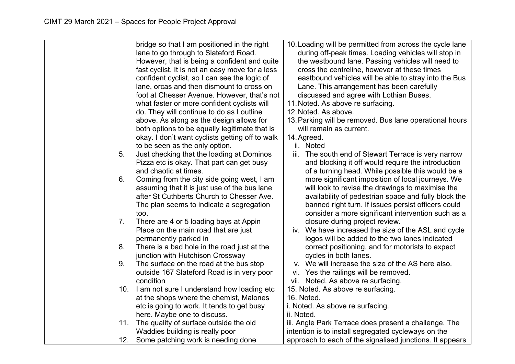|     | bridge so that I am positioned in the right     |             | 10. Loading will be permitted from across the cycle lane |
|-----|-------------------------------------------------|-------------|----------------------------------------------------------|
|     | lane to go through to Slateford Road.           |             | during off-peak times. Loading vehicles will stop in     |
|     | However, that is being a confident and quite    |             | the westbound lane. Passing vehicles will need to        |
|     | fast cyclist. It is not an easy move for a less |             | cross the centreline, however at these times             |
|     | confident cyclist, so I can see the logic of    |             | eastbound vehicles will be able to stray into the Bus    |
|     | lane, orcas and then dismount to cross on       |             | Lane. This arrangement has been carefully                |
|     | foot at Chesser Avenue. However, that's not     |             | discussed and agree with Lothian Buses.                  |
|     | what faster or more confident cyclists will     |             | 11. Noted. As above re surfacing.                        |
|     | do. They will continue to do as I outline       |             | 12. Noted. As above.                                     |
|     | above. As along as the design allows for        |             | 13. Parking will be removed. Bus lane operational hours  |
|     | both options to be equally legitimate that is   |             | will remain as current.                                  |
|     | okay. I don't want cyclists getting off to walk | 14. Agreed. |                                                          |
|     | to be seen as the only option.                  |             | ii. Noted                                                |
| 5.  | Just checking that the loading at Dominos       |             | iii. The south end of Stewart Terrace is very narrow     |
|     | Pizza etc is okay. That part can get busy       |             | and blocking it off would require the introduction       |
|     | and chaotic at times.                           |             | of a turning head. While possible this would be a        |
| 6.  | Coming from the city side going west, I am      |             | more significant imposition of local journeys. We        |
|     | assuming that it is just use of the bus lane    |             | will look to revise the drawings to maximise the         |
|     | after St Cuthberts Church to Chesser Ave.       |             | availability of pedestrian space and fully block the     |
|     | The plan seems to indicate a segregation        |             | banned right turn. If issues persist officers could      |
|     | too.                                            |             | consider a more significant intervention such as a       |
| 7.  | There are 4 or 5 loading bays at Appin          |             | closure during project review.                           |
|     | Place on the main road that are just            |             | iv. We have increased the size of the ASL and cycle      |
|     | permanently parked in                           |             | logos will be added to the two lanes indicated           |
| 8.  | There is a bad hole in the road just at the     |             | correct positioning, and for motorists to expect         |
|     | junction with Hutchison Crossway                |             | cycles in both lanes.                                    |
| 9.  | The surface on the road at the bus stop         |             | v. We will increase the size of the AS here also.        |
|     | outside 167 Slateford Road is in very poor      |             | vi. Yes the railings will be removed.                    |
|     | condition                                       |             | vii. Noted. As above re surfacing.                       |
| 10. | I am not sure I understand how loading etc      |             | 15. Noted. As above re surfacing.                        |
|     | at the shops where the chemist, Malones         | 16. Noted.  |                                                          |
|     | etc is going to work. It tends to get busy      |             | i. Noted. As above re surfacing.                         |
|     | here. Maybe one to discuss.                     | ii. Noted.  |                                                          |
| 11. | The quality of surface outside the old          |             | iii. Angle Park Terrace does present a challenge. The    |
|     | Waddies building is really poor                 |             | intention is to install segregated cycleways on the      |
| 12. | Some patching work is needing done              |             | approach to each of the signalised junctions. It appears |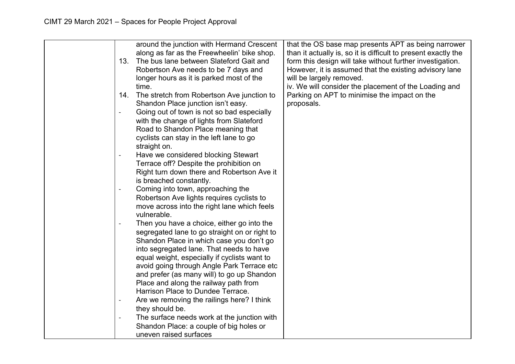|                          | around the junction with Hermand Crescent     | that the OS base map presents APT as being narrower            |
|--------------------------|-----------------------------------------------|----------------------------------------------------------------|
|                          | along as far as the Freewheelin' bike shop.   | than it actually is, so it is difficult to present exactly the |
| 13.                      | The bus lane between Slateford Gait and       | form this design will take without further investigation.      |
|                          | Robertson Ave needs to be 7 days and          | However, it is assumed that the existing advisory lane         |
|                          | longer hours as it is parked most of the      | will be largely removed.                                       |
|                          | time.                                         | iv. We will consider the placement of the Loading and          |
| 14.                      |                                               | Parking on APT to minimise the impact on the                   |
|                          | The stretch from Robertson Ave junction to    | proposals.                                                     |
|                          | Shandon Place junction isn't easy.            |                                                                |
| $\overline{\phantom{0}}$ | Going out of town is not so bad especially    |                                                                |
|                          | with the change of lights from Slateford      |                                                                |
|                          | Road to Shandon Place meaning that            |                                                                |
|                          | cyclists can stay in the left lane to go      |                                                                |
|                          | straight on.                                  |                                                                |
|                          | Have we considered blocking Stewart           |                                                                |
|                          | Terrace off? Despite the prohibition on       |                                                                |
|                          | Right turn down there and Robertson Ave it    |                                                                |
|                          | is breached constantly.                       |                                                                |
| $\overline{\phantom{a}}$ | Coming into town, approaching the             |                                                                |
|                          | Robertson Ave lights requires cyclists to     |                                                                |
|                          | move across into the right lane which feels   |                                                                |
|                          | vulnerable.                                   |                                                                |
|                          | Then you have a choice, either go into the    |                                                                |
|                          | segregated lane to go straight on or right to |                                                                |
|                          | Shandon Place in which case you don't go      |                                                                |
|                          | into segregated lane. That needs to have      |                                                                |
|                          | equal weight, especially if cyclists want to  |                                                                |
|                          | avoid going through Angle Park Terrace etc    |                                                                |
|                          | and prefer (as many will) to go up Shandon    |                                                                |
|                          | Place and along the railway path from         |                                                                |
|                          | Harrison Place to Dundee Terrace.             |                                                                |
|                          | Are we removing the railings here? I think    |                                                                |
|                          | they should be.                               |                                                                |
| $\qquad \qquad -$        | The surface needs work at the junction with   |                                                                |
|                          | Shandon Place: a couple of big holes or       |                                                                |
|                          | uneven raised surfaces                        |                                                                |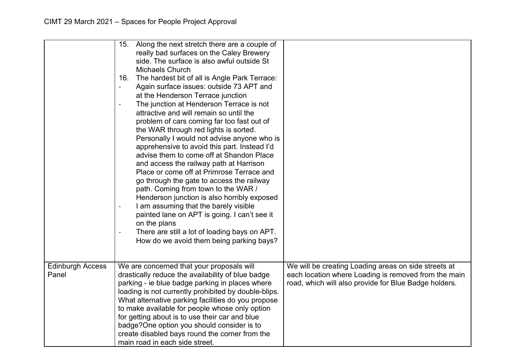|                                  | Along the next stretch there are a couple of<br>15.<br>really bad surfaces on the Caley Brewery<br>side. The surface is also awful outside St<br>Michaels Church<br>The hardest bit of all is Angle Park Terrace:<br>16.<br>Again surface issues: outside 73 APT and<br>$\overline{a}$<br>at the Henderson Terrace junction<br>The junction at Henderson Terrace is not<br>$\overline{a}$<br>attractive and will remain so until the<br>problem of cars coming far too fast out of<br>the WAR through red lights is sorted.<br>Personally I would not advise anyone who is<br>apprehensive to avoid this part. Instead I'd<br>advise them to come off at Shandon Place<br>and access the railway path at Harrison<br>Place or come off at Primrose Terrace and<br>go through the gate to access the railway<br>path. Coming from town to the WAR /<br>Henderson junction is also horribly exposed<br>I am assuming that the barely visible<br>painted lane on APT is going. I can't see it<br>on the plans<br>There are still a lot of loading bays on APT.<br>How do we avoid them being parking bays? |                                                                                                              |
|----------------------------------|---------------------------------------------------------------------------------------------------------------------------------------------------------------------------------------------------------------------------------------------------------------------------------------------------------------------------------------------------------------------------------------------------------------------------------------------------------------------------------------------------------------------------------------------------------------------------------------------------------------------------------------------------------------------------------------------------------------------------------------------------------------------------------------------------------------------------------------------------------------------------------------------------------------------------------------------------------------------------------------------------------------------------------------------------------------------------------------------------------|--------------------------------------------------------------------------------------------------------------|
| <b>Edinburgh Access</b><br>Panel | We are concerned that your proposals will<br>drastically reduce the availability of blue badge                                                                                                                                                                                                                                                                                                                                                                                                                                                                                                                                                                                                                                                                                                                                                                                                                                                                                                                                                                                                          | We will be creating Loading areas on side streets at<br>each location where Loading is removed from the main |
|                                  | parking - ie blue badge parking in places where<br>loading is not currently prohibited by double-blips.                                                                                                                                                                                                                                                                                                                                                                                                                                                                                                                                                                                                                                                                                                                                                                                                                                                                                                                                                                                                 | road, which will also provide for Blue Badge holders.                                                        |
|                                  | What alternative parking facilities do you propose                                                                                                                                                                                                                                                                                                                                                                                                                                                                                                                                                                                                                                                                                                                                                                                                                                                                                                                                                                                                                                                      |                                                                                                              |
|                                  | to make available for people whose only option                                                                                                                                                                                                                                                                                                                                                                                                                                                                                                                                                                                                                                                                                                                                                                                                                                                                                                                                                                                                                                                          |                                                                                                              |
|                                  | for getting about is to use their car and blue                                                                                                                                                                                                                                                                                                                                                                                                                                                                                                                                                                                                                                                                                                                                                                                                                                                                                                                                                                                                                                                          |                                                                                                              |
|                                  | badge? One option you should consider is to                                                                                                                                                                                                                                                                                                                                                                                                                                                                                                                                                                                                                                                                                                                                                                                                                                                                                                                                                                                                                                                             |                                                                                                              |
|                                  | create disabled bays round the corner from the                                                                                                                                                                                                                                                                                                                                                                                                                                                                                                                                                                                                                                                                                                                                                                                                                                                                                                                                                                                                                                                          |                                                                                                              |
|                                  | main road in each side street.                                                                                                                                                                                                                                                                                                                                                                                                                                                                                                                                                                                                                                                                                                                                                                                                                                                                                                                                                                                                                                                                          |                                                                                                              |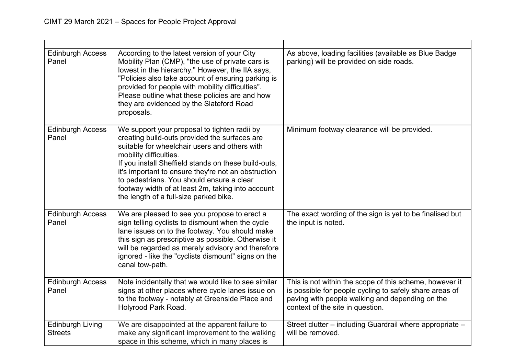| <b>Edinburgh Access</b><br>Panel          | According to the latest version of your City<br>Mobility Plan (CMP), "the use of private cars is<br>lowest in the hierarchy." However, the IIA says,<br>"Policies also take account of ensuring parking is<br>provided for people with mobility difficulties".<br>Please outline what these policies are and how<br>they are evidenced by the Slateford Road<br>proposals.                                                          | As above, loading facilities (available as Blue Badge<br>parking) will be provided on side roads.                                                                                                         |
|-------------------------------------------|-------------------------------------------------------------------------------------------------------------------------------------------------------------------------------------------------------------------------------------------------------------------------------------------------------------------------------------------------------------------------------------------------------------------------------------|-----------------------------------------------------------------------------------------------------------------------------------------------------------------------------------------------------------|
| <b>Edinburgh Access</b><br>Panel          | We support your proposal to tighten radii by<br>creating build-outs provided the surfaces are<br>suitable for wheelchair users and others with<br>mobility difficulties.<br>If you install Sheffield stands on these build-outs,<br>it's important to ensure they're not an obstruction<br>to pedestrians. You should ensure a clear<br>footway width of at least 2m, taking into account<br>the length of a full-size parked bike. | Minimum footway clearance will be provided.                                                                                                                                                               |
| <b>Edinburgh Access</b><br>Panel          | We are pleased to see you propose to erect a<br>sign telling cyclists to dismount when the cycle<br>lane issues on to the footway. You should make<br>this sign as prescriptive as possible. Otherwise it<br>will be regarded as merely advisory and therefore<br>ignored - like the "cyclists dismount" signs on the<br>canal tow-path.                                                                                            | The exact wording of the sign is yet to be finalised but<br>the input is noted.                                                                                                                           |
| <b>Edinburgh Access</b><br>Panel          | Note incidentally that we would like to see similar<br>signs at other places where cycle lanes issue on<br>to the footway - notably at Greenside Place and<br>Holyrood Park Road.                                                                                                                                                                                                                                                   | This is not within the scope of this scheme, however it<br>is possible for people cycling to safely share areas of<br>paving with people walking and depending on the<br>context of the site in question. |
| <b>Edinburgh Living</b><br><b>Streets</b> | We are disappointed at the apparent failure to<br>make any significant improvement to the walking<br>space in this scheme, which in many places is                                                                                                                                                                                                                                                                                  | Street clutter – including Guardrail where appropriate –<br>will be removed.                                                                                                                              |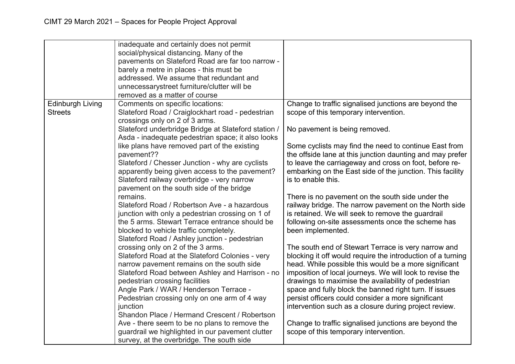|                                           | inadequate and certainly does not permit<br>social/physical distancing. Many of the<br>pavements on Slateford Road are far too narrow -<br>barely a metre in places - this must be<br>addressed. We assume that redundant and<br>unnecessarystreet furniture/clutter will be                                                                                                 |                                                                                                                                                                                                                                                                                                                                                                                                                                                                         |
|-------------------------------------------|------------------------------------------------------------------------------------------------------------------------------------------------------------------------------------------------------------------------------------------------------------------------------------------------------------------------------------------------------------------------------|-------------------------------------------------------------------------------------------------------------------------------------------------------------------------------------------------------------------------------------------------------------------------------------------------------------------------------------------------------------------------------------------------------------------------------------------------------------------------|
|                                           | removed as a matter of course                                                                                                                                                                                                                                                                                                                                                |                                                                                                                                                                                                                                                                                                                                                                                                                                                                         |
| <b>Edinburgh Living</b><br><b>Streets</b> | Comments on specific locations:<br>Slateford Road / Craiglockhart road - pedestrian<br>crossings only on 2 of 3 arms.                                                                                                                                                                                                                                                        | Change to traffic signalised junctions are beyond the<br>scope of this temporary intervention.                                                                                                                                                                                                                                                                                                                                                                          |
|                                           | Slateford underbridge Bridge at Slateford station /<br>Asda - inadequate pedestrian space; it also looks                                                                                                                                                                                                                                                                     | No pavement is being removed.                                                                                                                                                                                                                                                                                                                                                                                                                                           |
|                                           | like plans have removed part of the existing<br>pavement??<br>Slateford / Chesser Junction - why are cyclists<br>apparently being given access to the pavement?<br>Slateford railway overbridge - very narrow<br>pavement on the south side of the bridge                                                                                                                    | Some cyclists may find the need to continue East from<br>the offside lane at this junction daunting and may prefer<br>to leave the carriageway and cross on foot, before re-<br>embarking on the East side of the junction. This facility<br>is to enable this.                                                                                                                                                                                                         |
|                                           | remains.<br>Slateford Road / Robertson Ave - a hazardous<br>junction with only a pedestrian crossing on 1 of<br>the 5 arms. Stewart Terrace entrance should be<br>blocked to vehicle traffic completely.<br>Slateford Road / Ashley junction - pedestrian                                                                                                                    | There is no pavement on the south side under the<br>railway bridge. The narrow pavement on the North side<br>is retained. We will seek to remove the guardrail<br>following on-site assessments once the scheme has<br>been implemented.                                                                                                                                                                                                                                |
|                                           | crossing only on 2 of the 3 arms.<br>Slateford Road at the Slateford Colonies - very<br>narrow pavement remains on the south side<br>Slateford Road between Ashley and Harrison - no<br>pedestrian crossing facilities<br>Angle Park / WAR / Henderson Terrace -<br>Pedestrian crossing only on one arm of 4 way<br>junction<br>Shandon Place / Hermand Crescent / Robertson | The south end of Stewart Terrace is very narrow and<br>blocking it off would require the introduction of a turning<br>head. While possible this would be a more significant<br>imposition of local journeys. We will look to revise the<br>drawings to maximise the availability of pedestrian<br>space and fully block the banned right turn. If issues<br>persist officers could consider a more significant<br>intervention such as a closure during project review. |
|                                           | Ave - there seem to be no plans to remove the<br>guardrail we highlighted in our pavement clutter<br>survey, at the overbridge. The south side                                                                                                                                                                                                                               | Change to traffic signalised junctions are beyond the<br>scope of this temporary intervention.                                                                                                                                                                                                                                                                                                                                                                          |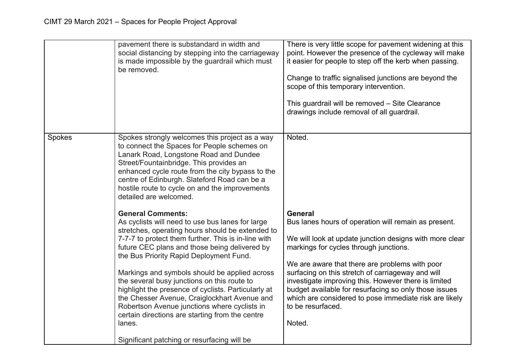|        | pavement there is substandard in width and<br>social distancing by stepping into the carriageway<br>is made impossible by the guardrail which must<br>be removed.                                                                                                                                                                                                                                                                                                                                                                                                                                                                                      | There is very little scope for pavement widening at this<br>point. However the presence of the cycleway will make<br>it easier for people to step off the kerb when passing.<br>Change to traffic signalised junctions are beyond the<br>scope of this temporary intervention.<br>This guardrail will be removed - Site Clearance<br>drawings include removal of all guardrail.                                                                                                              |
|--------|--------------------------------------------------------------------------------------------------------------------------------------------------------------------------------------------------------------------------------------------------------------------------------------------------------------------------------------------------------------------------------------------------------------------------------------------------------------------------------------------------------------------------------------------------------------------------------------------------------------------------------------------------------|----------------------------------------------------------------------------------------------------------------------------------------------------------------------------------------------------------------------------------------------------------------------------------------------------------------------------------------------------------------------------------------------------------------------------------------------------------------------------------------------|
| Spokes | Spokes strongly welcomes this project as a way<br>to connect the Spaces for People schemes on<br>Lanark Road, Longstone Road and Dundee<br>Street/Fountainbridge. This provides an<br>enhanced cycle route from the city bypass to the<br>centre of Edinburgh. Slateford Road can be a<br>hostile route to cycle on and the improvements<br>detailed are welcomed.                                                                                                                                                                                                                                                                                     | Noted.                                                                                                                                                                                                                                                                                                                                                                                                                                                                                       |
|        | <b>General Comments:</b><br>As cyclists will need to use bus lanes for large<br>stretches, operating hours should be extended to<br>7-7-7 to protect them further. This is in-line with<br>future CEC plans and those being delivered by<br>the Bus Priority Rapid Deployment Fund.<br>Markings and symbols should be applied across<br>the several busy junctions on this route to<br>highlight the presence of cyclists. Particularly at<br>the Chesser Avenue, Craiglockhart Avenue and<br>Robertson Avenue junctions where cyclists in<br>certain directions are starting from the centre<br>lanes.<br>Significant patching or resurfacing will be | <b>General</b><br>Bus lanes hours of operation will remain as present.<br>We will look at update junction designs with more clear<br>markings for cycles through junctions.<br>We are aware that there are problems with poor<br>surfacing on this stretch of carriageway and will<br>investigate improving this. However there is limited<br>budget available for resurfacing so only those issues<br>which are considered to pose immediate risk are likely<br>to be resurfaced.<br>Noted. |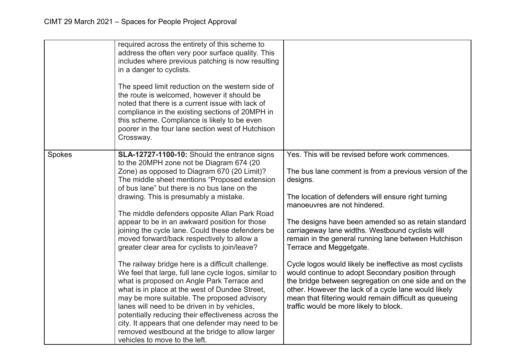|        | required across the entirety of this scheme to<br>address the often very poor surface quality. This<br>includes where previous patching is now resulting<br>in a danger to cyclists.<br>The speed limit reduction on the western side of<br>the route is welcomed, however it should be<br>noted that there is a current issue with lack of<br>compliance in the existing sections of 20MPH in<br>this scheme. Compliance is likely to be even<br>poorer in the four lane section west of Hutchison<br>Crossway.                                                                                                                                                                                                                                                                                                                                                                                                                                                                                                                                      |                                                                                                                                                                                                                                                                                                                                                                                                                                                                                                                                                                                                                                                                                                                                                    |
|--------|-------------------------------------------------------------------------------------------------------------------------------------------------------------------------------------------------------------------------------------------------------------------------------------------------------------------------------------------------------------------------------------------------------------------------------------------------------------------------------------------------------------------------------------------------------------------------------------------------------------------------------------------------------------------------------------------------------------------------------------------------------------------------------------------------------------------------------------------------------------------------------------------------------------------------------------------------------------------------------------------------------------------------------------------------------|----------------------------------------------------------------------------------------------------------------------------------------------------------------------------------------------------------------------------------------------------------------------------------------------------------------------------------------------------------------------------------------------------------------------------------------------------------------------------------------------------------------------------------------------------------------------------------------------------------------------------------------------------------------------------------------------------------------------------------------------------|
| Spokes | SLA-12727-1100-10: Should the entrance signs<br>to the 20MPH zone not be Diagram 674 (20<br>Zone) as opposed to Diagram 670 (20 Limit)?<br>The middle sheet mentions "Proposed extension<br>of bus lane" but there is no bus lane on the<br>drawing. This is presumably a mistake.<br>The middle defenders opposite Allan Park Road<br>appear to be in an awkward position for those<br>joining the cycle lane. Could these defenders be<br>moved forward/back respectively to allow a<br>greater clear area for cyclists to join/leave?<br>The railway bridge here is a difficult challenge.<br>We feel that large, full lane cycle logos, similar to<br>what is proposed on Angle Park Terrace and<br>what is in place at the west of Dundee Street,<br>may be more suitable. The proposed advisory<br>lanes will need to be driven in by vehicles,<br>potentially reducing their effectiveness across the<br>city. It appears that one defender may need to be<br>removed westbound at the bridge to allow larger<br>vehicles to move to the left. | Yes. This will be revised before work commences.<br>The bus lane comment is from a previous version of the<br>designs.<br>The location of defenders will ensure right turning<br>manoeuvres are not hindered.<br>The designs have been amended so as retain standard<br>carriageway lane widths. Westbound cyclists will<br>remain in the general running lane between Hutchison<br>Terrace and Meggetgate.<br>Cycle logos would likely be ineffective as most cyclists<br>would continue to adopt Secondary position through<br>the bridge between segregation on one side and on the<br>other. However the lack of a cycle lane would likely<br>mean that filtering would remain difficult as queueing<br>traffic would be more likely to block. |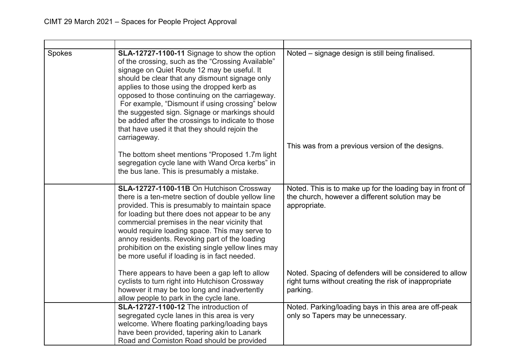| Spokes | SLA-12727-1100-11 Signage to show the option<br>of the crossing, such as the "Crossing Available"<br>signage on Quiet Route 12 may be useful. It<br>should be clear that any dismount signage only<br>applies to those using the dropped kerb as<br>opposed to those continuing on the carriageway.<br>For example, "Dismount if using crossing" below<br>the suggested sign. Signage or markings should<br>be added after the crossings to indicate to those<br>that have used it that they should rejoin the<br>carriageway.<br>The bottom sheet mentions "Proposed 1.7m light<br>segregation cycle lane with Wand Orca kerbs" in<br>the bus lane. This is presumably a mistake. | Noted – signage design is still being finalised.<br>This was from a previous version of the designs.                          |
|--------|------------------------------------------------------------------------------------------------------------------------------------------------------------------------------------------------------------------------------------------------------------------------------------------------------------------------------------------------------------------------------------------------------------------------------------------------------------------------------------------------------------------------------------------------------------------------------------------------------------------------------------------------------------------------------------|-------------------------------------------------------------------------------------------------------------------------------|
|        | SLA-12727-1100-11B On Hutchison Crossway<br>there is a ten-metre section of double yellow line<br>provided. This is presumably to maintain space<br>for loading but there does not appear to be any<br>commercial premises in the near vicinity that<br>would require loading space. This may serve to<br>annoy residents. Revoking part of the loading<br>prohibition on the existing single yellow lines may<br>be more useful if loading is in fact needed.                                                                                                                                                                                                                     | Noted. This is to make up for the loading bay in front of<br>the church, however a different solution may be<br>appropriate.  |
|        | There appears to have been a gap left to allow<br>cyclists to turn right into Hutchison Crossway<br>however it may be too long and inadvertently<br>allow people to park in the cycle lane.                                                                                                                                                                                                                                                                                                                                                                                                                                                                                        | Noted. Spacing of defenders will be considered to allow<br>right turns without creating the risk of inappropriate<br>parking. |
|        | SLA-12727-1100-12 The introduction of<br>segregated cycle lanes in this area is very<br>welcome. Where floating parking/loading bays<br>have been provided, tapering akin to Lanark<br>Road and Comiston Road should be provided                                                                                                                                                                                                                                                                                                                                                                                                                                                   | Noted. Parking/loading bays in this area are off-peak<br>only so Tapers may be unnecessary.                                   |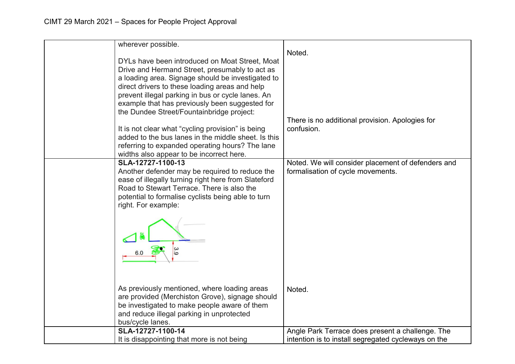| wherever possible.                                                                                  |                                                     |
|-----------------------------------------------------------------------------------------------------|-----------------------------------------------------|
|                                                                                                     | Noted.                                              |
| DYLs have been introduced on Moat Street, Moat                                                      |                                                     |
| Drive and Hermand Street, presumably to act as                                                      |                                                     |
| a loading area. Signage should be investigated to                                                   |                                                     |
| direct drivers to these loading areas and help                                                      |                                                     |
| prevent illegal parking in bus or cycle lanes. An<br>example that has previously been suggested for |                                                     |
| the Dundee Street/Fountainbridge project:                                                           |                                                     |
|                                                                                                     | There is no additional provision. Apologies for     |
| It is not clear what "cycling provision" is being                                                   | confusion.                                          |
| added to the bus lanes in the middle sheet. Is this                                                 |                                                     |
| referring to expanded operating hours? The lane                                                     |                                                     |
| widths also appear to be incorrect here.                                                            |                                                     |
| SLA-12727-1100-13                                                                                   | Noted. We will consider placement of defenders and  |
| Another defender may be required to reduce the                                                      | formalisation of cycle movements.                   |
| ease of illegally turning right here from Slateford                                                 |                                                     |
| Road to Stewart Terrace. There is also the                                                          |                                                     |
| potential to formalise cyclists being able to turn                                                  |                                                     |
| right. For example:                                                                                 |                                                     |
|                                                                                                     |                                                     |
| As previously mentioned, where loading areas                                                        | Noted.                                              |
| are provided (Merchiston Grove), signage should                                                     |                                                     |
| be investigated to make people aware of them                                                        |                                                     |
| and reduce illegal parking in unprotected                                                           |                                                     |
| bus/cycle lanes.                                                                                    |                                                     |
| SLA-12727-1100-14                                                                                   | Angle Park Terrace does present a challenge. The    |
| It is disappointing that more is not being                                                          | intention is to install segregated cycleways on the |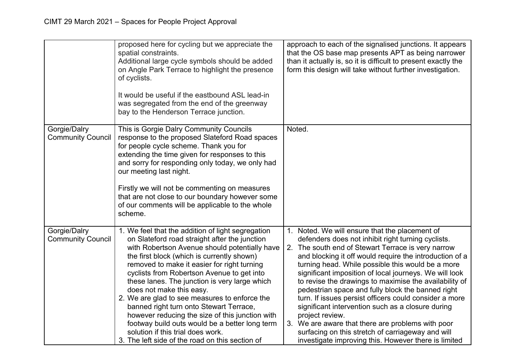|                                          | proposed here for cycling but we appreciate the<br>spatial constraints.<br>Additional large cycle symbols should be added<br>on Angle Park Terrace to highlight the presence<br>of cyclists.<br>It would be useful if the eastbound ASL lead-in<br>was segregated from the end of the greenway<br>bay to the Henderson Terrace junction.                                                                                                                                                                                                                                                                                                                             | approach to each of the signalised junctions. It appears<br>that the OS base map presents APT as being narrower<br>than it actually is, so it is difficult to present exactly the<br>form this design will take without further investigation.                                                                                                                                                                                                                                                                                                                                                                                                                                                                                                          |
|------------------------------------------|----------------------------------------------------------------------------------------------------------------------------------------------------------------------------------------------------------------------------------------------------------------------------------------------------------------------------------------------------------------------------------------------------------------------------------------------------------------------------------------------------------------------------------------------------------------------------------------------------------------------------------------------------------------------|---------------------------------------------------------------------------------------------------------------------------------------------------------------------------------------------------------------------------------------------------------------------------------------------------------------------------------------------------------------------------------------------------------------------------------------------------------------------------------------------------------------------------------------------------------------------------------------------------------------------------------------------------------------------------------------------------------------------------------------------------------|
| Gorgie/Dalry<br><b>Community Council</b> | This is Gorgie Dalry Community Councils<br>response to the proposed Slateford Road spaces<br>for people cycle scheme. Thank you for<br>extending the time given for responses to this<br>and sorry for responding only today, we only had<br>our meeting last night.<br>Firstly we will not be commenting on measures<br>that are not close to our boundary however some<br>of our comments will be applicable to the whole<br>scheme.                                                                                                                                                                                                                               | Noted.                                                                                                                                                                                                                                                                                                                                                                                                                                                                                                                                                                                                                                                                                                                                                  |
| Gorgie/Dalry<br><b>Community Council</b> | 1. We feel that the addition of light segregation<br>on Slateford road straight after the junction<br>with Robertson Avenue should potentially have<br>the first block (which is currently shown)<br>removed to make it easier for right turning<br>cyclists from Robertson Avenue to get into<br>these lanes. The junction is very large which<br>does not make this easy.<br>2. We are glad to see measures to enforce the<br>banned right turn onto Stewart Terrace,<br>however reducing the size of this junction with<br>footway build outs would be a better long term<br>solution if this trial does work.<br>3. The left side of the road on this section of | 1. Noted. We will ensure that the placement of<br>defenders does not inhibit right turning cyclists.<br>2. The south end of Stewart Terrace is very narrow<br>and blocking it off would require the introduction of a<br>turning head. While possible this would be a more<br>significant imposition of local journeys. We will look<br>to revise the drawings to maximise the availability of<br>pedestrian space and fully block the banned right<br>turn. If issues persist officers could consider a more<br>significant intervention such as a closure during<br>project review.<br>3. We are aware that there are problems with poor<br>surfacing on this stretch of carriageway and will<br>investigate improving this. However there is limited |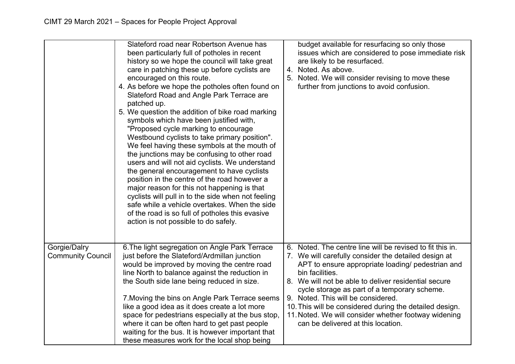|                                          | Slateford road near Robertson Avenue has<br>been particularly full of potholes in recent<br>history so we hope the council will take great<br>care in patching these up before cyclists are<br>encouraged on this route.<br>4. As before we hope the potholes often found on<br>Slateford Road and Angle Park Terrace are<br>patched up.<br>5. We question the addition of bike road marking<br>symbols which have been justified with,<br>"Proposed cycle marking to encourage<br>Westbound cyclists to take primary position".<br>We feel having these symbols at the mouth of<br>the junctions may be confusing to other road<br>users and will not aid cyclists. We understand<br>the general encouragement to have cyclists<br>position in the centre of the road however a<br>major reason for this not happening is that<br>cyclists will pull in to the side when not feeling<br>safe while a vehicle overtakes. When the side<br>of the road is so full of potholes this evasive<br>action is not possible to do safely. | budget available for resurfacing so only those<br>issues which are considered to pose immediate risk<br>are likely to be resurfaced.<br>4. Noted. As above.<br>5. Noted. We will consider revising to move these<br>further from junctions to avoid confusion.                                                                                                                                                                                                                                   |
|------------------------------------------|-----------------------------------------------------------------------------------------------------------------------------------------------------------------------------------------------------------------------------------------------------------------------------------------------------------------------------------------------------------------------------------------------------------------------------------------------------------------------------------------------------------------------------------------------------------------------------------------------------------------------------------------------------------------------------------------------------------------------------------------------------------------------------------------------------------------------------------------------------------------------------------------------------------------------------------------------------------------------------------------------------------------------------------|--------------------------------------------------------------------------------------------------------------------------------------------------------------------------------------------------------------------------------------------------------------------------------------------------------------------------------------------------------------------------------------------------------------------------------------------------------------------------------------------------|
| Gorgie/Dalry<br><b>Community Council</b> | 6. The light segregation on Angle Park Terrace<br>just before the Slateford/Ardmillan junction<br>would be improved by moving the centre road<br>line North to balance against the reduction in<br>the South side lane being reduced in size.<br>7. Moving the bins on Angle Park Terrace seems<br>like a good idea as it does create a lot more<br>space for pedestrians especially at the bus stop,<br>where it can be often hard to get past people<br>waiting for the bus. It is however important that<br>these measures work for the local shop being                                                                                                                                                                                                                                                                                                                                                                                                                                                                       | 6. Noted. The centre line will be revised to fit this in.<br>7. We will carefully consider the detailed design at<br>APT to ensure appropriate loading/ pedestrian and<br>bin facilities.<br>8. We will not be able to deliver residential secure<br>cycle storage as part of a temporary scheme.<br>9. Noted. This will be considered.<br>10. This will be considered during the detailed design.<br>11. Noted. We will consider whether footway widening<br>can be delivered at this location. |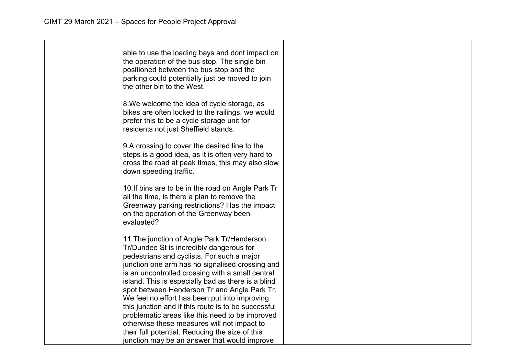| able to use the loading bays and dont impact on<br>the operation of the bus stop. The single bin<br>positioned between the bus stop and the<br>parking could potentially just be moved to join<br>the other bin to the West.                                                                                                                                                                                                                                                                                                                                 |  |
|--------------------------------------------------------------------------------------------------------------------------------------------------------------------------------------------------------------------------------------------------------------------------------------------------------------------------------------------------------------------------------------------------------------------------------------------------------------------------------------------------------------------------------------------------------------|--|
| 8. We welcome the idea of cycle storage, as<br>bikes are often locked to the railings, we would<br>prefer this to be a cycle storage unit for<br>residents not just Sheffield stands.                                                                                                                                                                                                                                                                                                                                                                        |  |
| 9.A crossing to cover the desired line to the<br>steps is a good idea, as it is often very hard to<br>cross the road at peak times, this may also slow<br>down speeding traffic.                                                                                                                                                                                                                                                                                                                                                                             |  |
| 10. If bins are to be in the road on Angle Park Tr<br>all the time, is there a plan to remove the<br>Greenway parking restrictions? Has the impact<br>on the operation of the Greenway been<br>evaluated?                                                                                                                                                                                                                                                                                                                                                    |  |
| 11. The junction of Angle Park Tr/Henderson<br>Tr/Dundee St is incredibly dangerous for<br>pedestrians and cyclists. For such a major<br>junction one arm has no signalised crossing and<br>is an uncontrolled crossing with a small central<br>island. This is especially bad as there is a blind<br>spot between Henderson Tr and Angle Park Tr.<br>We feel no effort has been put into improving<br>this junction and if this route is to be successful<br>problematic areas like this need to be improved<br>otherwise these measures will not impact to |  |
| their full potential. Reducing the size of this<br>junction may be an answer that would improve                                                                                                                                                                                                                                                                                                                                                                                                                                                              |  |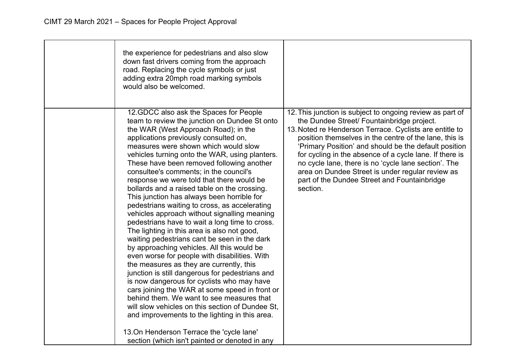| the experience for pedestrians and also slow<br>down fast drivers coming from the approach<br>road. Replacing the cycle symbols or just<br>adding extra 20mph road marking symbols<br>would also be welcomed.                                                                                                                                                                                                                                                                                                                                                                                                                                                                                                                                                                                                                                                                                                                                                                                                                                                                                                                                                                                                                                        |                                                                                                                                                                                                                                                                                                                                                                                                                                                                                                                          |
|------------------------------------------------------------------------------------------------------------------------------------------------------------------------------------------------------------------------------------------------------------------------------------------------------------------------------------------------------------------------------------------------------------------------------------------------------------------------------------------------------------------------------------------------------------------------------------------------------------------------------------------------------------------------------------------------------------------------------------------------------------------------------------------------------------------------------------------------------------------------------------------------------------------------------------------------------------------------------------------------------------------------------------------------------------------------------------------------------------------------------------------------------------------------------------------------------------------------------------------------------|--------------------------------------------------------------------------------------------------------------------------------------------------------------------------------------------------------------------------------------------------------------------------------------------------------------------------------------------------------------------------------------------------------------------------------------------------------------------------------------------------------------------------|
| 12.GDCC also ask the Spaces for People<br>team to review the junction on Dundee St onto<br>the WAR (West Approach Road); in the<br>applications previously consulted on,<br>measures were shown which would slow<br>vehicles turning onto the WAR, using planters.<br>These have been removed following another<br>consultee's comments; in the council's<br>response we were told that there would be<br>bollards and a raised table on the crossing.<br>This junction has always been horrible for<br>pedestrians waiting to cross, as accelerating<br>vehicles approach without signalling meaning<br>pedestrians have to wait a long time to cross.<br>The lighting in this area is also not good,<br>waiting pedestrians cant be seen in the dark<br>by approaching vehicles. All this would be<br>even worse for people with disabilities. With<br>the measures as they are currently, this<br>junction is still dangerous for pedestrians and<br>is now dangerous for cyclists who may have<br>cars joining the WAR at some speed in front or<br>behind them. We want to see measures that<br>will slow vehicles on this section of Dundee St.<br>and improvements to the lighting in this area.<br>13. On Henderson Terrace the 'cycle lane' | 12. This junction is subject to ongoing review as part of<br>the Dundee Street/ Fountainbridge project.<br>13. Noted re Henderson Terrace. Cyclists are entitle to<br>position themselves in the centre of the lane, this is<br>'Primary Position' and should be the default position<br>for cycling in the absence of a cycle lane. If there is<br>no cycle lane, there is no 'cycle lane section'. The<br>area on Dundee Street is under regular review as<br>part of the Dundee Street and Fountainbridge<br>section. |
| section (which isn't painted or denoted in any                                                                                                                                                                                                                                                                                                                                                                                                                                                                                                                                                                                                                                                                                                                                                                                                                                                                                                                                                                                                                                                                                                                                                                                                       |                                                                                                                                                                                                                                                                                                                                                                                                                                                                                                                          |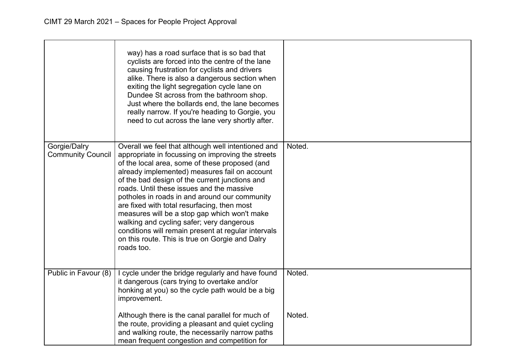|                                          | way) has a road surface that is so bad that<br>cyclists are forced into the centre of the lane<br>causing frustration for cyclists and drivers<br>alike. There is also a dangerous section when<br>exiting the light segregation cycle lane on<br>Dundee St across from the bathroom shop.<br>Just where the bollards end, the lane becomes<br>really narrow. If you're heading to Gorgie, you<br>need to cut across the lane very shortly after.                                                                                                                                                                              |        |
|------------------------------------------|--------------------------------------------------------------------------------------------------------------------------------------------------------------------------------------------------------------------------------------------------------------------------------------------------------------------------------------------------------------------------------------------------------------------------------------------------------------------------------------------------------------------------------------------------------------------------------------------------------------------------------|--------|
| Gorgie/Dalry<br><b>Community Council</b> | Overall we feel that although well intentioned and<br>appropriate in focussing on improving the streets<br>of the local area, some of these proposed (and<br>already implemented) measures fail on account<br>of the bad design of the current junctions and<br>roads. Until these issues and the massive<br>potholes in roads in and around our community<br>are fixed with total resurfacing, then most<br>measures will be a stop gap which won't make<br>walking and cycling safer; very dangerous<br>conditions will remain present at regular intervals<br>on this route. This is true on Gorgie and Dalry<br>roads too. | Noted. |
| Public in Favour (8)                     | I cycle under the bridge regularly and have found<br>it dangerous (cars trying to overtake and/or<br>honking at you) so the cycle path would be a big<br>improvement.                                                                                                                                                                                                                                                                                                                                                                                                                                                          | Noted. |
|                                          | Although there is the canal parallel for much of<br>the route, providing a pleasant and quiet cycling<br>and walking route, the necessarily narrow paths<br>mean frequent congestion and competition for                                                                                                                                                                                                                                                                                                                                                                                                                       | Noted. |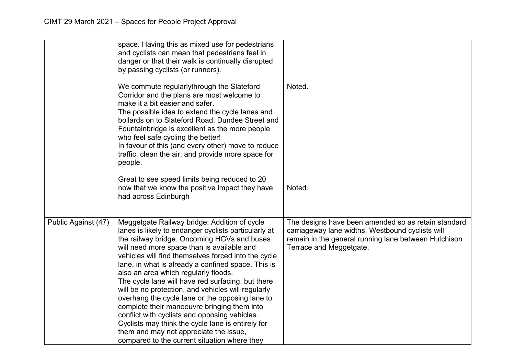|                     | space. Having this as mixed use for pedestrians<br>and cyclists can mean that pedestrians feel in<br>danger or that their walk is continually disrupted<br>by passing cyclists (or runners).                                                                                                                                                                                                                                                                                                                                                                                                                                                                                                                                                                        |                                                                                                                                                                                            |
|---------------------|---------------------------------------------------------------------------------------------------------------------------------------------------------------------------------------------------------------------------------------------------------------------------------------------------------------------------------------------------------------------------------------------------------------------------------------------------------------------------------------------------------------------------------------------------------------------------------------------------------------------------------------------------------------------------------------------------------------------------------------------------------------------|--------------------------------------------------------------------------------------------------------------------------------------------------------------------------------------------|
|                     | We commute regularlythrough the Slateford<br>Corridor and the plans are most welcome to<br>make it a bit easier and safer.<br>The possible idea to extend the cycle lanes and<br>bollards on to Slateford Road, Dundee Street and<br>Fountainbridge is excellent as the more people<br>who feel safe cycling the better!<br>In favour of this (and every other) move to reduce<br>traffic, clean the air, and provide more space for<br>people.                                                                                                                                                                                                                                                                                                                     | Noted.                                                                                                                                                                                     |
|                     | Great to see speed limits being reduced to 20<br>now that we know the positive impact they have<br>had across Edinburgh                                                                                                                                                                                                                                                                                                                                                                                                                                                                                                                                                                                                                                             | Noted.                                                                                                                                                                                     |
| Public Against (47) | Meggetgate Railway bridge: Addition of cycle<br>lanes is likely to endanger cyclists particularly at<br>the railway bridge. Oncoming HGVs and buses<br>will need more space than is available and<br>vehicles will find themselves forced into the cycle<br>lane, in what is already a confined space. This is<br>also an area which regularly floods.<br>The cycle lane will have red surfacing, but there<br>will be no protection, and vehicles will regularly<br>overhang the cycle lane or the opposing lane to<br>complete their manoeuvre bringing them into<br>conflict with cyclists and opposing vehicles.<br>Cyclists may think the cycle lane is entirely for<br>them and may not appreciate the issue,<br>compared to the current situation where they | The designs have been amended so as retain standard<br>carriageway lane widths. Westbound cyclists will<br>remain in the general running lane between Hutchison<br>Terrace and Meggetgate. |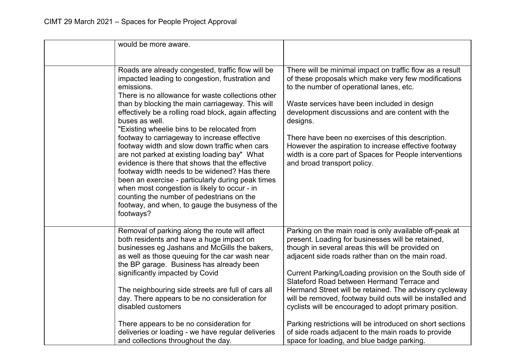| would be more aware.                                                                                                                                                                                                                                                                                                                                                                                                                                                                                                                                                                                                                                                                                                                                                                                                       |                                                                                                                                                                                                                                                                                                                                                                                                                                                                                                                                                                                                                                                                                 |
|----------------------------------------------------------------------------------------------------------------------------------------------------------------------------------------------------------------------------------------------------------------------------------------------------------------------------------------------------------------------------------------------------------------------------------------------------------------------------------------------------------------------------------------------------------------------------------------------------------------------------------------------------------------------------------------------------------------------------------------------------------------------------------------------------------------------------|---------------------------------------------------------------------------------------------------------------------------------------------------------------------------------------------------------------------------------------------------------------------------------------------------------------------------------------------------------------------------------------------------------------------------------------------------------------------------------------------------------------------------------------------------------------------------------------------------------------------------------------------------------------------------------|
|                                                                                                                                                                                                                                                                                                                                                                                                                                                                                                                                                                                                                                                                                                                                                                                                                            |                                                                                                                                                                                                                                                                                                                                                                                                                                                                                                                                                                                                                                                                                 |
| Roads are already congested, traffic flow will be<br>impacted leading to congestion, frustration and<br>emissions.<br>There is no allowance for waste collections other<br>than by blocking the main carriageway. This will<br>effectively be a rolling road block, again affecting<br>buses as well.<br>"Existing wheelie bins to be relocated from<br>footway to carriageway to increase effective<br>footway width and slow down traffic when cars<br>are not parked at existing loading bay" What<br>evidence is there that shows that the effective<br>footway width needs to be widened? Has there<br>been an exercise - particularly during peak times<br>when most congestion is likely to occur - in<br>counting the number of pedestrians on the<br>footway, and when, to gauge the busyness of the<br>footways? | There will be minimal impact on traffic flow as a result<br>of these proposals which make very few modifications<br>to the number of operational lanes, etc.<br>Waste services have been included in design<br>development discussions and are content with the<br>designs.<br>There have been no exercises of this description.<br>However the aspiration to increase effective footway<br>width is a core part of Spaces for People interventions<br>and broad transport policy.                                                                                                                                                                                              |
| Removal of parking along the route will affect<br>both residents and have a huge impact on<br>businesses eg Jashans and McGills the bakers,<br>as well as those queuing for the car wash near<br>the BP garage. Business has already been<br>significantly impacted by Covid<br>The neighbouring side streets are full of cars all<br>day. There appears to be no consideration for<br>disabled customers<br>There appears to be no consideration for<br>deliveries or loading - we have regular deliveries<br>and collections throughout the day.                                                                                                                                                                                                                                                                         | Parking on the main road is only available off-peak at<br>present. Loading for businesses will be retained,<br>though in several areas this will be provided on<br>adjacent side roads rather than on the main road.<br>Current Parking/Loading provision on the South side of<br>Slateford Road between Hermand Terrace and<br>Hermand Street will be retained. The advisory cycleway<br>will be removed, footway build outs will be installed and<br>cyclists will be encouraged to adopt primary position.<br>Parking restrictions will be introduced on short sections<br>of side roads adjacent to the main roads to provide<br>space for loading, and blue badge parking. |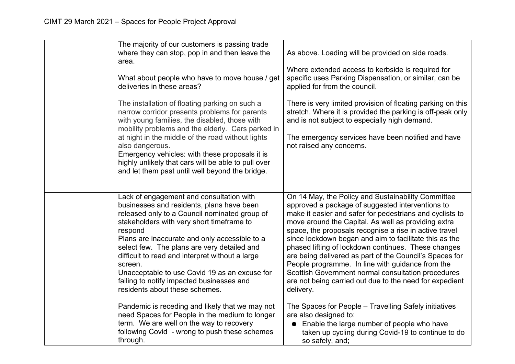| The majority of our customers is passing trade<br>where they can stop, pop in and then leave the<br>area.<br>What about people who have to move house / get<br>deliveries in these areas?<br>The installation of floating parking on such a<br>narrow corridor presents problems for parents<br>with young families, the disabled, those with<br>mobility problems and the elderly. Cars parked in<br>at night in the middle of the road without lights<br>also dangerous.<br>Emergency vehicles: with these proposals it is<br>highly unlikely that cars will be able to pull over<br>and let them past until well beyond the bridge.                                                                     | As above. Loading will be provided on side roads.<br>Where extended access to kerbside is required for<br>specific uses Parking Dispensation, or similar, can be<br>applied for from the council.<br>There is very limited provision of floating parking on this<br>stretch. Where it is provided the parking is off-peak only<br>and is not subject to especially high demand.<br>The emergency services have been notified and have<br>not raised any concerns.                                                                                                                                                                                                                                                                                                                                                                                            |
|------------------------------------------------------------------------------------------------------------------------------------------------------------------------------------------------------------------------------------------------------------------------------------------------------------------------------------------------------------------------------------------------------------------------------------------------------------------------------------------------------------------------------------------------------------------------------------------------------------------------------------------------------------------------------------------------------------|--------------------------------------------------------------------------------------------------------------------------------------------------------------------------------------------------------------------------------------------------------------------------------------------------------------------------------------------------------------------------------------------------------------------------------------------------------------------------------------------------------------------------------------------------------------------------------------------------------------------------------------------------------------------------------------------------------------------------------------------------------------------------------------------------------------------------------------------------------------|
| Lack of engagement and consultation with<br>businesses and residents, plans have been<br>released only to a Council nominated group of<br>stakeholders with very short timeframe to<br>respond<br>Plans are inaccurate and only accessible to a<br>select few. The plans are very detailed and<br>difficult to read and interpret without a large<br>screen.<br>Unacceptable to use Covid 19 as an excuse for<br>failing to notify impacted businesses and<br>residents about these schemes.<br>Pandemic is receding and likely that we may not<br>need Spaces for People in the medium to longer<br>term. We are well on the way to recovery<br>following Covid - wrong to push these schemes<br>through. | On 14 May, the Policy and Sustainability Committee<br>approved a package of suggested interventions to<br>make it easier and safer for pedestrians and cyclists to<br>move around the Capital. As well as providing extra<br>space, the proposals recognise a rise in active travel<br>since lockdown began and aim to facilitate this as the<br>phased lifting of lockdown continues. These changes<br>are being delivered as part of the Council's Spaces for<br>People programme. In line with guidance from the<br>Scottish Government normal consultation procedures<br>are not being carried out due to the need for expedient<br>delivery.<br>The Spaces for People - Travelling Safely initiatives<br>are also designed to:<br>• Enable the large number of people who have<br>taken up cycling during Covid-19 to continue to do<br>so safely, and; |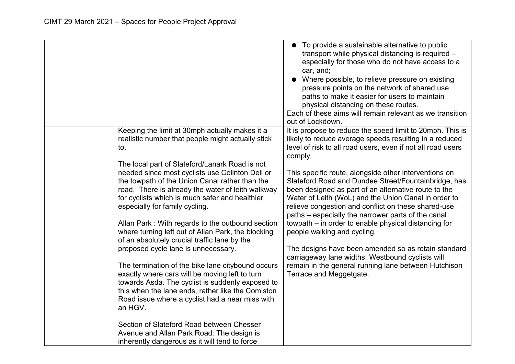|                                                                                                                                                                                                                                                                                                                                                                                                                                                                                                                                                                                                                                                                                                                                                                                                                                                                                                                                                                                     | To provide a sustainable alternative to public<br>transport while physical distancing is required -<br>especially for those who do not have access to a<br>car, and;<br>Where possible, to relieve pressure on existing<br>pressure points on the network of shared use<br>paths to make it easier for users to maintain<br>physical distancing on these routes.<br>Each of these aims will remain relevant as we transition<br>out of Lockdown.                                                                                                                                                                                                                                                                                                                                                                                 |
|-------------------------------------------------------------------------------------------------------------------------------------------------------------------------------------------------------------------------------------------------------------------------------------------------------------------------------------------------------------------------------------------------------------------------------------------------------------------------------------------------------------------------------------------------------------------------------------------------------------------------------------------------------------------------------------------------------------------------------------------------------------------------------------------------------------------------------------------------------------------------------------------------------------------------------------------------------------------------------------|----------------------------------------------------------------------------------------------------------------------------------------------------------------------------------------------------------------------------------------------------------------------------------------------------------------------------------------------------------------------------------------------------------------------------------------------------------------------------------------------------------------------------------------------------------------------------------------------------------------------------------------------------------------------------------------------------------------------------------------------------------------------------------------------------------------------------------|
| Keeping the limit at 30mph actually makes it a<br>realistic number that people might actually stick<br>to.<br>The local part of Slateford/Lanark Road is not<br>needed since most cyclists use Colinton Dell or<br>the towpath of the Union Canal rather than the<br>road. There is already the water of leith walkway<br>for cyclists which is much safer and healthier<br>especially for family cycling.<br>Allan Park: With regards to the outbound section<br>where turning left out of Allan Park, the blocking<br>of an absolutely crucial traffic lane by the<br>proposed cycle lane is unnecessary.<br>The termination of the bike lane citybound occurs<br>exactly where cars will be moving left to turn<br>towards Asda. The cyclist is suddenly exposed to<br>this when the lane ends, rather like the Comiston<br>Road issue where a cyclist had a near miss with<br>an HGV.<br>Section of Slateford Road between Chesser<br>Avenue and Allan Park Road: The design is | It is propose to reduce the speed limit to 20mph. This is<br>likely to reduce average speeds resulting in a reduced<br>level of risk to all road users, even if not all road users<br>comply.<br>This specific route, alongside other interventions on<br>Slateford Road and Dundee Street/Fountainbridge, has<br>been designed as part of an alternative route to the<br>Water of Leith (WoL) and the Union Canal in order to<br>relieve congestion and conflict on these shared-use<br>paths – especially the narrower parts of the canal<br>towpath – in order to enable physical distancing for<br>people walking and cycling.<br>The designs have been amended so as retain standard<br>carriageway lane widths. Westbound cyclists will<br>remain in the general running lane between Hutchison<br>Terrace and Meggetgate. |
| inherently dangerous as it will tend to force                                                                                                                                                                                                                                                                                                                                                                                                                                                                                                                                                                                                                                                                                                                                                                                                                                                                                                                                       |                                                                                                                                                                                                                                                                                                                                                                                                                                                                                                                                                                                                                                                                                                                                                                                                                                  |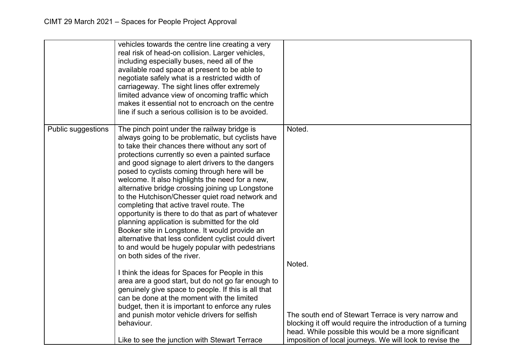|                    | vehicles towards the centre line creating a very<br>real risk of head-on collision. Larger vehicles,<br>including especially buses, need all of the<br>available road space at present to be able to<br>negotiate safely what is a restricted width of<br>carriageway. The sight lines offer extremely<br>limited advance view of oncoming traffic which<br>makes it essential not to encroach on the centre<br>line if such a serious collision is to be avoided.                                                                                                                                                                                                                                                                                                                                                   |                                                                                                                                                                                                                                         |
|--------------------|----------------------------------------------------------------------------------------------------------------------------------------------------------------------------------------------------------------------------------------------------------------------------------------------------------------------------------------------------------------------------------------------------------------------------------------------------------------------------------------------------------------------------------------------------------------------------------------------------------------------------------------------------------------------------------------------------------------------------------------------------------------------------------------------------------------------|-----------------------------------------------------------------------------------------------------------------------------------------------------------------------------------------------------------------------------------------|
| Public suggestions | The pinch point under the railway bridge is<br>always going to be problematic, but cyclists have<br>to take their chances there without any sort of<br>protections currently so even a painted surface<br>and good signage to alert drivers to the dangers<br>posed to cyclists coming through here will be<br>welcome. It also highlights the need for a new,<br>alternative bridge crossing joining up Longstone<br>to the Hutchison/Chesser quiet road network and<br>completing that active travel route. The<br>opportunity is there to do that as part of whatever<br>planning application is submitted for the old<br>Booker site in Longstone. It would provide an<br>alternative that less confident cyclist could divert<br>to and would be hugely popular with pedestrians<br>on both sides of the river. | Noted.<br>Noted.                                                                                                                                                                                                                        |
|                    | I think the ideas for Spaces for People in this<br>area are a good start, but do not go far enough to<br>genuinely give space to people. If this is all that<br>can be done at the moment with the limited<br>budget, then it is important to enforce any rules<br>and punish motor vehicle drivers for selfish<br>behaviour.<br>Like to see the junction with Stewart Terrace                                                                                                                                                                                                                                                                                                                                                                                                                                       | The south end of Stewart Terrace is very narrow and<br>blocking it off would require the introduction of a turning<br>head. While possible this would be a more significant<br>imposition of local journeys. We will look to revise the |